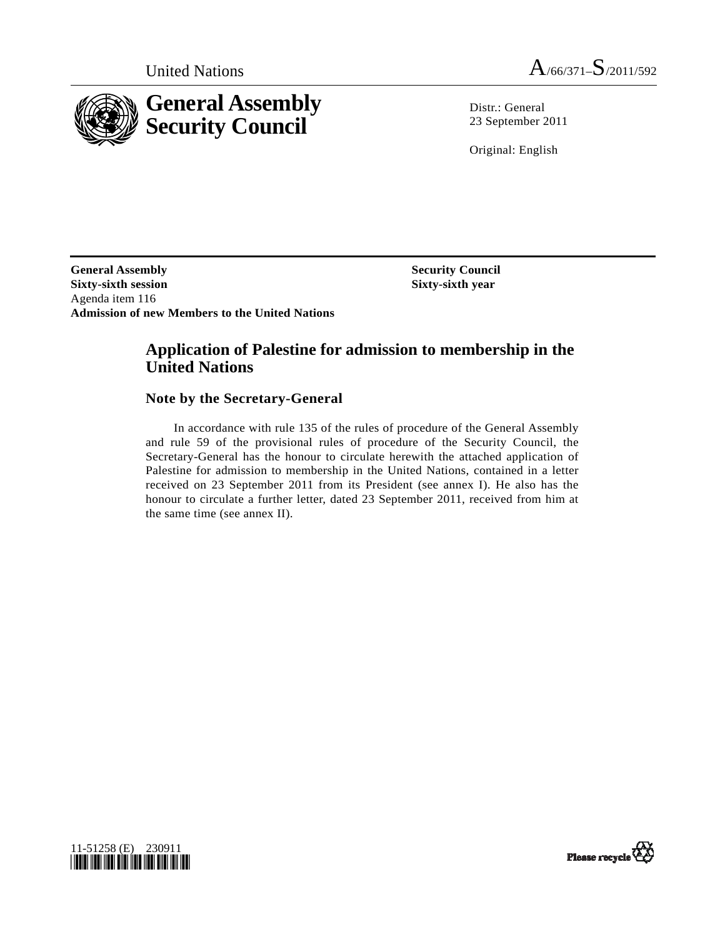

United Nations  $A_{/66/371} - S_{/2011/592}$ 

Distr.: General 23 September 2011

Original: English

**General Assembly Security Council and Security Council Sixty-sixth session Sixty-sixth year**  Agenda item 116 **Admission of new Members to the United Nations** 

# **Application of Palestine for admission to membership in the United Nations**

### **Note by the Secretary-General**

 In accordance with rule 135 of the rules of procedure of the General Assembly and rule 59 of the provisional rules of procedure of the Security Council, the Secretary-General has the honour to circulate herewith the attached application of Palestine for admission to membership in the United Nations, contained in a letter received on 23 September 2011 from its President (see annex I). He also has the honour to circulate a further letter, dated 23 September 2011, received from him at the same time (see annex II).



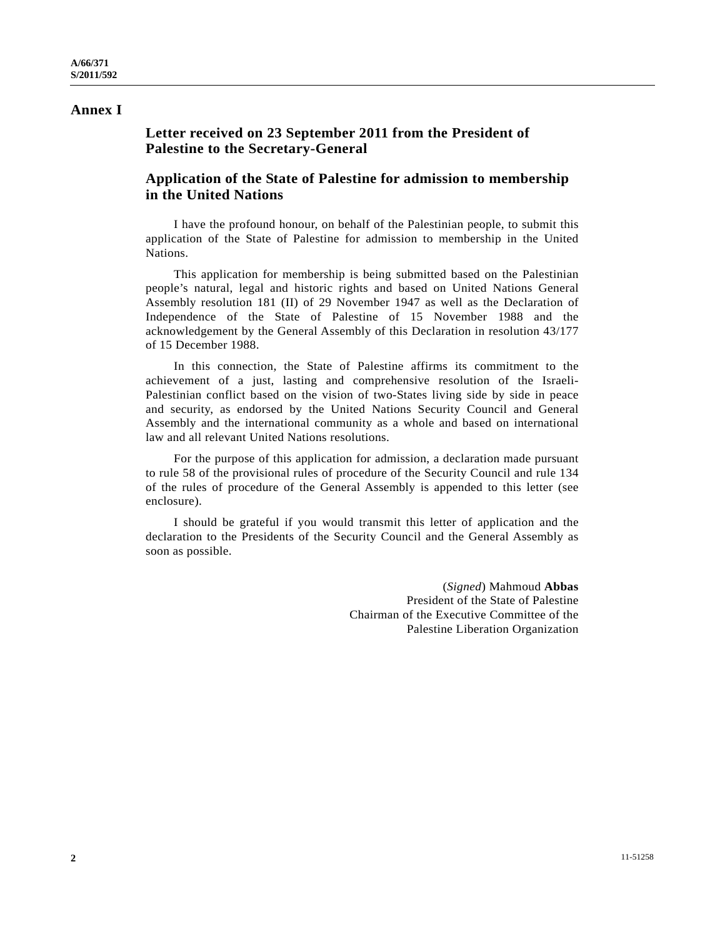## **Annex I**

# **Letter received on 23 September 2011 from the President of Palestine to the Secretary-General**

# **Application of the State of Palestine for admission to membership in the United Nations**

 I have the profound honour, on behalf of the Palestinian people, to submit this application of the State of Palestine for admission to membership in the United Nations.

 This application for membership is being submitted based on the Palestinian people's natural, legal and historic rights and based on United Nations General Assembly resolution 181 (II) of 29 November 1947 as well as the Declaration of Independence of the State of Palestine of 15 November 1988 and the acknowledgement by the General Assembly of this Declaration in resolution 43/177 of 15 December 1988.

 In this connection, the State of Palestine affirms its commitment to the achievement of a just, lasting and comprehensive resolution of the Israeli-Palestinian conflict based on the vision of two-States living side by side in peace and security, as endorsed by the United Nations Security Council and General Assembly and the international community as a whole and based on international law and all relevant United Nations resolutions.

 For the purpose of this application for admission, a declaration made pursuant to rule 58 of the provisional rules of procedure of the Security Council and rule 134 of the rules of procedure of the General Assembly is appended to this letter (see enclosure).

 I should be grateful if you would transmit this letter of application and the declaration to the Presidents of the Security Council and the General Assembly as soon as possible.

> (*Signed*) Mahmoud **Abbas** President of the State of Palestine Chairman of the Executive Committee of the Palestine Liberation Organization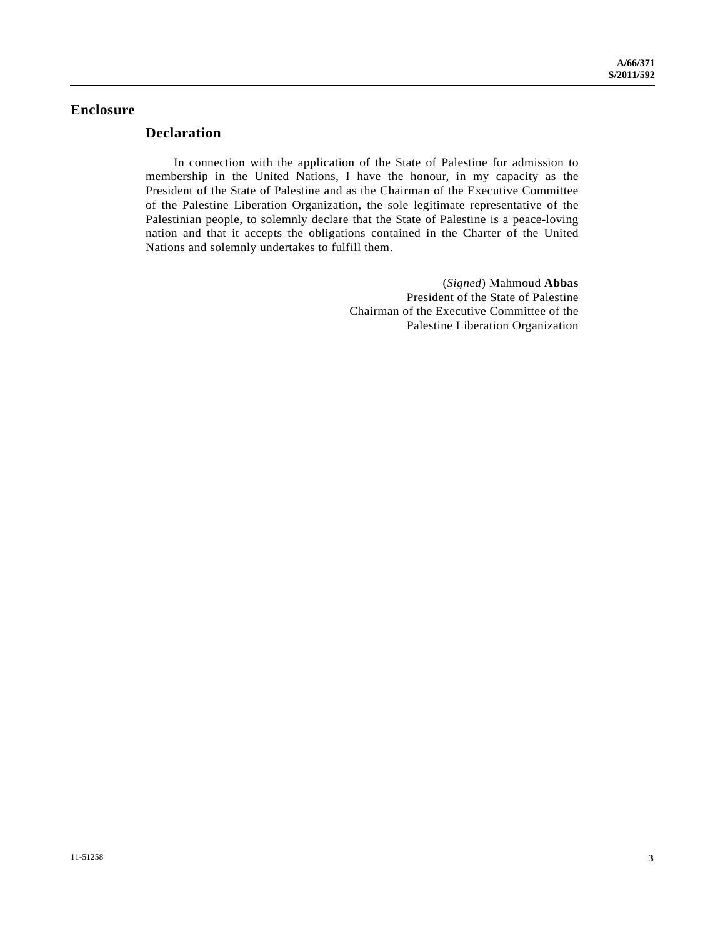### **Enclosure**

## **Declaration**

 In connection with the application of the State of Palestine for admission to membership in the United Nations, I have the honour, in my capacity as the President of the State of Palestine and as the Chairman of the Executive Committee of the Palestine Liberation Organization, the sole legitimate representative of the Palestinian people, to solemnly declare that the State of Palestine is a peace-loving nation and that it accepts the obligations contained in the Charter of the United Nations and solemnly undertakes to fulfill them.

> (*Signed*) Mahmoud **Abbas** President of the State of Palestine Chairman of the Executive Committee of the Palestine Liberation Organization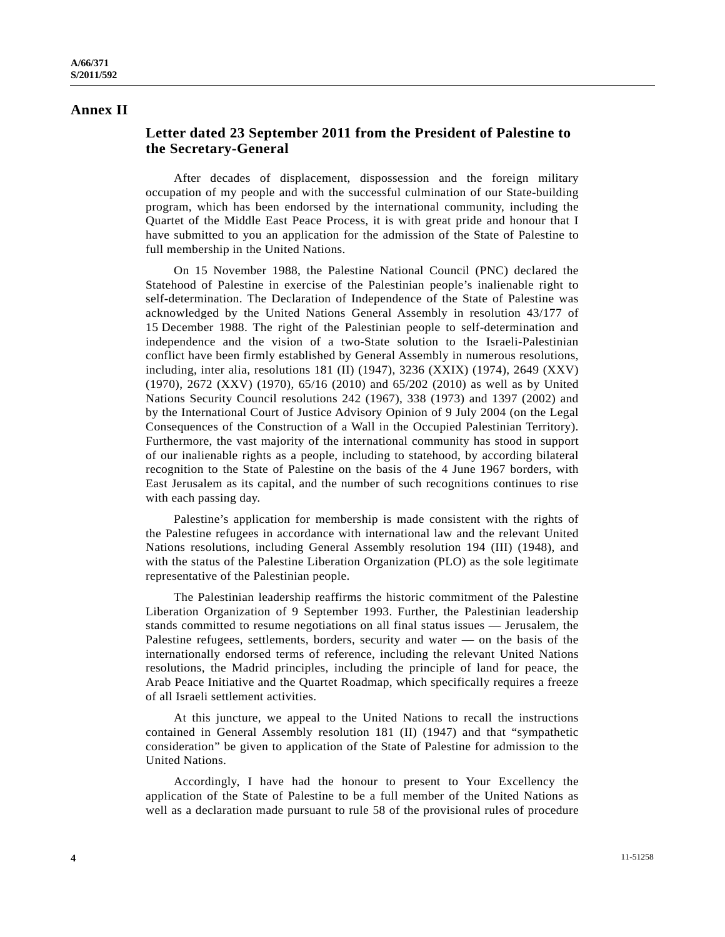### **Annex II**

## **Letter dated 23 September 2011 from the President of Palestine to the Secretary-General**

 After decades of displacement, dispossession and the foreign military occupation of my people and with the successful culmination of our State-building program, which has been endorsed by the international community, including the Quartet of the Middle East Peace Process, it is with great pride and honour that I have submitted to you an application for the admission of the State of Palestine to full membership in the United Nations.

 On 15 November 1988, the Palestine National Council (PNC) declared the Statehood of Palestine in exercise of the Palestinian people's inalienable right to self-determination. The Declaration of Independence of the State of Palestine was acknowledged by the United Nations General Assembly in resolution 43/177 of 15 December 1988. The right of the Palestinian people to self-determination and independence and the vision of a two-State solution to the Israeli-Palestinian conflict have been firmly established by General Assembly in numerous resolutions, including, inter alia, resolutions 181 (II) (1947), 3236 (XXIX) (1974), 2649 (XXV) (1970), 2672 (XXV) (1970), 65/16 (2010) and 65/202 (2010) as well as by United Nations Security Council resolutions 242 (1967), 338 (1973) and 1397 (2002) and by the International Court of Justice Advisory Opinion of 9 July 2004 (on the Legal Consequences of the Construction of a Wall in the Occupied Palestinian Territory). Furthermore, the vast majority of the international community has stood in support of our inalienable rights as a people, including to statehood, by according bilateral recognition to the State of Palestine on the basis of the 4 June 1967 borders, with East Jerusalem as its capital, and the number of such recognitions continues to rise with each passing day.

 Palestine's application for membership is made consistent with the rights of the Palestine refugees in accordance with international law and the relevant United Nations resolutions, including General Assembly resolution 194 (III) (1948), and with the status of the Palestine Liberation Organization (PLO) as the sole legitimate representative of the Palestinian people.

 The Palestinian leadership reaffirms the historic commitment of the Palestine Liberation Organization of 9 September 1993. Further, the Palestinian leadership stands committed to resume negotiations on all final status issues — Jerusalem, the Palestine refugees, settlements, borders, security and water — on the basis of the internationally endorsed terms of reference, including the relevant United Nations resolutions, the Madrid principles, including the principle of land for peace, the Arab Peace Initiative and the Quartet Roadmap, which specifically requires a freeze of all Israeli settlement activities.

 At this juncture, we appeal to the United Nations to recall the instructions contained in General Assembly resolution 181 (II) (1947) and that "sympathetic consideration" be given to application of the State of Palestine for admission to the United Nations.

 Accordingly, I have had the honour to present to Your Excellency the application of the State of Palestine to be a full member of the United Nations as well as a declaration made pursuant to rule 58 of the provisional rules of procedure